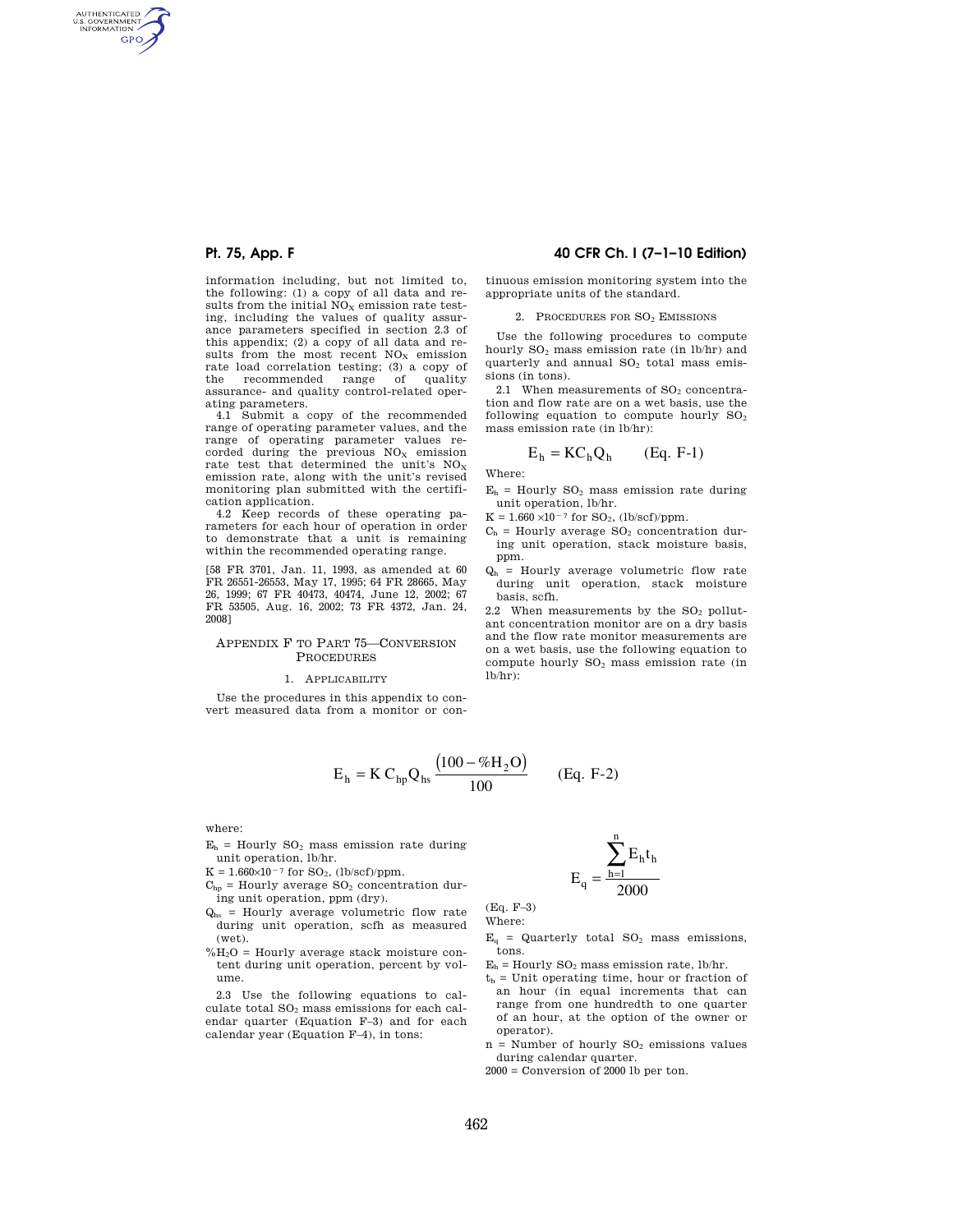AUTHENTICATED<br>U.S. GOVERNMENT<br>INFORMATION **GPO** 

> information including, but not limited to, the following: (1) a copy of all data and results from the initial  $NO<sub>x</sub>$  emission rate testing, including the values of quality assurance parameters specified in section 2.3 of this appendix; (2) a copy of all data and results from the most recent  $\mathrm{NO}_\mathrm{X}$  emission rate load correlation testing; (3) a copy of<br>the recommended range of quality the recommended range assurance- and quality control-related operating parameters.

> 4.1 Submit a copy of the recommended range of operating parameter values, and the range of operating parameter values recorded during the previous  $NO<sub>x</sub>$  emission rate test that determined the unit's  $NO<sub>X</sub>$ emission rate, along with the unit's revised monitoring plan submitted with the certification application.

> 4.2 Keep records of these operating parameters for each hour of operation in order to demonstrate that a unit is remaining within the recommended operating range.

> [58 FR 3701, Jan. 11, 1993, as amended at 60 FR 26551-26553, May 17, 1995; 64 FR 28665, May 26, 1999; 67 FR 40473, 40474, June 12, 2002; 67 FR 53505, Aug. 16, 2002; 73 FR 4372, Jan. 24, 2008]

### APPENDIX F TO PART 75—CONVERSION PROCEDURES

#### 1. APPLICABILITY

Use the procedures in this appendix to convert measured data from a monitor or con-

## **Pt. 75, App. F 40 CFR Ch. I (7–1–10 Edition)**

tinuous emission monitoring system into the appropriate units of the standard.

### 2. PROCEDURES FOR SO<sup>2</sup> EMISSIONS

Use the following procedures to compute hourly  $SO_2$  mass emission rate (in lb/hr) and quarterly and annual SO<sub>2</sub> total mass emissions (in tons).

2.1 When measurements of  $SO<sub>2</sub>$  concentration and flow rate are on a wet basis, use the following equation to compute hourly  $SO<sub>2</sub>$ mass emission rate (in lb/hr):

$$
E_h = KC_h Q_h \qquad (Eq. F-1)
$$

Where:

 $E_h$  = Hourly SO<sub>2</sub> mass emission rate during unit operation, lb/hr.

 $K = 1.660 \times 10^{-7}$  for SO<sub>2</sub>, (lb/scf)/ppm.

- $C<sub>b</sub>$  = Hourly average SO<sub>2</sub> concentration during unit operation, stack moisture basis, ppm.
- $Q<sub>h</sub>$  = Hourly average volumetric flow rate during unit operation, stack moisture basis, scfh.

2.2 When measurements by the  $SO<sub>2</sub>$  pollutant concentration monitor are on a dry basis and the flow rate monitor measurements are on a wet basis, use the following equation to compute hourly  $SO<sub>2</sub>$  mass emission rate (in lb/hr):

$$
E_h = K C_{hp} Q_{hs} \frac{(100 - \%H_2O)}{100}
$$
 (Eq. F-2)

where:

- $E_h$  = Hourly  $SO_2$  mass emission rate during unit operation, lb/hr.
- $\rm K=1.660\!\!\times\!\!10^{-7}$  for  $\rm SO_2,$  (lb/scf)/ppm.
- $C<sub>hp</sub>$  = Hourly average SO<sub>2</sub> concentration during unit operation, ppm (dry).
- $Q_{hs}$  = Hourly average volumetric flow rate during unit operation, scfh as measured (wet).
- $%H<sub>2</sub>O = Hourly average stack moisture con$ tent during unit operation, percent by volume.

2.3 Use the following equations to calculate total  $SO<sub>2</sub>$  mass emissions for each calendar quarter (Equation F–3) and for each calendar year (Equation F–4), in tons:

$$
E_q=\frac{\displaystyle\sum_{h=1}^n E_h t_h}{2000}
$$

(Eq. F–3) Where:

 $E<sub>q</sub>$  = Quarterly total SO<sub>2</sub> mass emissions, tons.

 $E_h$  = Hourly SO<sub>2</sub> mass emission rate, lb/hr.

- $t<sub>h</sub>$  = Unit operating time, hour or fraction of an hour (in equal increments that can range from one hundredth to one quarter of an hour, at the option of the owner or operator).
- $n =$  Number of hourly  $SO<sub>2</sub>$  emissions values during calendar quarter.

2000 = Conversion of 2000 lb per ton.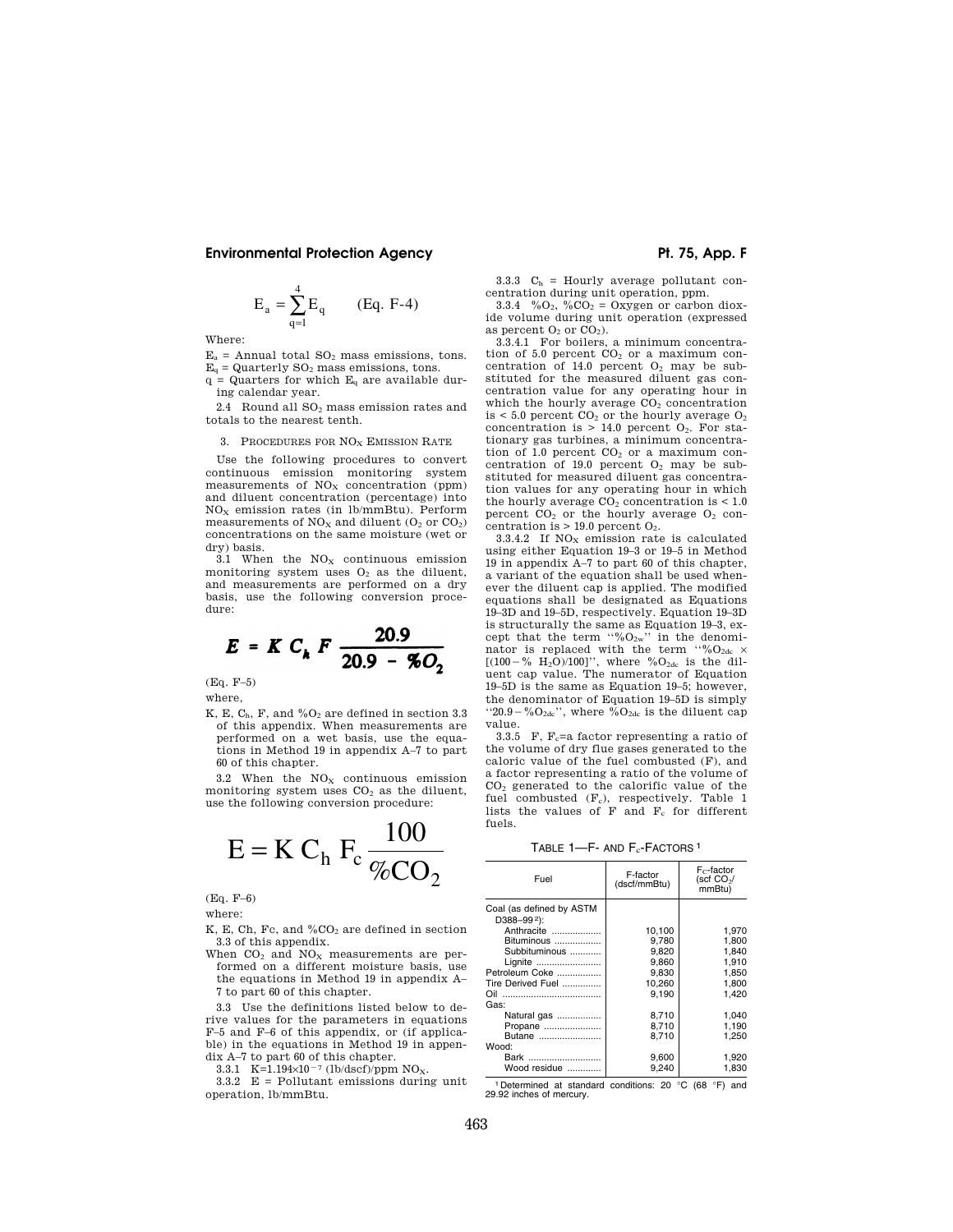$$
E_a = \sum_{q=1}^{4} E_q
$$
 (Eq. F-4)

Where:

 $E_a$  = Annual total  $SO_2$  mass emissions, tons.  $E<sub>q</sub> =$  Quarterly SO<sub>2</sub> mass emissions, tons.

 $q =$  Quarters for which  $E_q$  are available during calendar year.

2.4 Round all  $SO<sub>2</sub>$  mass emission rates and totals to the nearest tenth.

3. PROCEDURES FOR NO<sub>x</sub> EMISSION RATE

Use the following procedures to convert continuous emission monitoring system measurements of  $NO<sub>x</sub>$  concentration (ppm) and diluent concentration (percentage) into  $NO<sub>x</sub>$  emission rates (in lb/mmBtu). Perform measurements of  $NO<sub>X</sub>$  and diluent  $(O<sub>2</sub>$  or  $CO<sub>2</sub>)$ concentrations on the same moisture (wet or dry) basis.

 $3.1$  When the NO<sub>X</sub> continuous emission monitoring system uses  $O<sub>2</sub>$  as the diluent, and measurements are performed on a dry basis, use the following conversion procedure:

$$
E = K C_k F \frac{20.9}{20.9 - 50.2}
$$

(Eq. F–5) where,

K, E,  $C_h$ , F, and  $\%O_2$  are defined in section 3.3 of this appendix. When measurements are performed on a wet basis, use the equations in Method 19 in appendix A–7 to part 60 of this chapter.

3.2 When the  $NO<sub>x</sub>$  continuous emission monitoring system uses  $CO<sub>2</sub>$  as the diluent, use the following conversion procedure:

$$
E = K Ch Fc \frac{100}{\%CO2}
$$

(Eq. F–6)

where:

- K, E, Ch, Fc, and  $\%CO_2$  are defined in section 3.3 of this appendix.
- When  $CO<sub>2</sub>$  and  $NO<sub>X</sub>$  measurements are performed on a different moisture basis, use the equations in Method 19 in appendix A– 7 to part 60 of this chapter.

3.3 Use the definitions listed below to derive values for the parameters in equations F–5 and F–6 of this appendix, or (if applicable) in the equations in Method 19 in appendix A–7 to part 60 of this chapter.

3.3.1 K=1.194×10<sup>-7</sup> (lb/dscf)/ppm NO<sub>X</sub>.

3.3.2 E = Pollutant emissions during unit operation, lb/mmBtu.

3.3.3  $C_h$  = Hourly average pollutant concentration during unit operation, ppm.

3.3.4 % $O_2$ , % $CO_2 = Oxygen$  or carbon dioxide volume during unit operation (expressed as percent  $O_2$  or  $CO_2$ ).

 $3.3.4.1$  For boilers, a minimum concentration of 5.0 percent  $CO<sub>2</sub>$  or a maximum concentration of 14.0 percent  $O<sub>2</sub>$  may be substituted for the measured diluent gas concentration value for any operating hour in which the hourly average  $CO<sub>2</sub>$  concentration is < 5.0 percent  $CO<sub>2</sub>$  or the hourly average  $O<sub>2</sub>$ concentration is  $> 14.0$  percent  $O_2$ . For stationary gas turbines, a minimum concentration of 1.0 percent  $CO<sub>2</sub>$  or a maximum concentration of 19.0 percent  $O_2$  may be substituted for measured diluent gas concentration values for any operating hour in which the hourly average  $CO<sub>2</sub>$  concentration is < 1.0 percent  $CO<sub>2</sub>$  or the hourly average  $O<sub>2</sub>$  concentration is  $> 19.0$  percent  $O_2$ .

3.3.4.2 If  $NO<sub>x</sub>$  emission rate is calculated using either Equation 19–3 or 19–5 in Method 19 in appendix A–7 to part 60 of this chapter, a variant of the equation shall be used whenever the diluent cap is applied. The modified equations shall be designated as Equations 19–3D and 19–5D, respectively. Equation 19–3D is structurally the same as Equation 19–3, except that the term "% $O_{2w}$ " in the denominator is replaced with the term "% $O_{2dc}$  ×  $[(100 - \frac{\%}{6} H_2O)/100]$ ", where  $\%O_{2dc}$  is the diluent cap value. The numerator of Equation 19–5D is the same as Equation 19–5; however, the denominator of Equation 19–5D is simply "20.9 – % $O_{2dc}$ ", where % $O_{2dc}$  is the diluent cap value.

3.3.5 F,  $F_c$ =a factor representing a ratio of the volume of dry flue gases generated to the caloric value of the fuel combusted (F), and a factor representing a ratio of the volume of CO<sup>2</sup> generated to the calorific value of the fuel combusted  $(F_c)$ , respectively. Table 1 lists the values of  $F$  and  $F_c$  for different fuels.

TABLE 1-F- AND F<sub>c</sub>-FACTORS<sup>1</sup>

| Fuel                     | F-factor<br>(dscf/mmBtu) | $F_C$ -factor<br>(scf $CO2/$<br>mmBtu) |
|--------------------------|--------------------------|----------------------------------------|
| Coal (as defined by ASTM |                          |                                        |
| D388-992):               |                          |                                        |
| Anthracite               | 10,100                   | 1.970                                  |
| Bituminous               | 9.780                    | 1.800                                  |
| Subbituminous            | 9.820                    | 1.840                                  |
| Lignite                  | 9.860                    | 1.910                                  |
| Petroleum Coke           | 9.830                    | 1.850                                  |
| Tire Derived Fuel        | 10,260                   | 1,800                                  |
| Oil<br>                  | 9,190                    | 1.420                                  |
| Gas:                     |                          |                                        |
| Natural gas              | 8.710                    | 1.040                                  |
| Propane                  | 8,710                    | 1,190                                  |
| Butane                   | 8,710                    | 1,250                                  |
| Wood:                    |                          |                                        |
|                          |                          |                                        |
| Bark                     | 9,600                    | 1,920                                  |
| Wood residue             | 9.240                    | 1,830                                  |

Determined at standard conditions: 20 °C (68 °F) and 29.92 inches of mercury.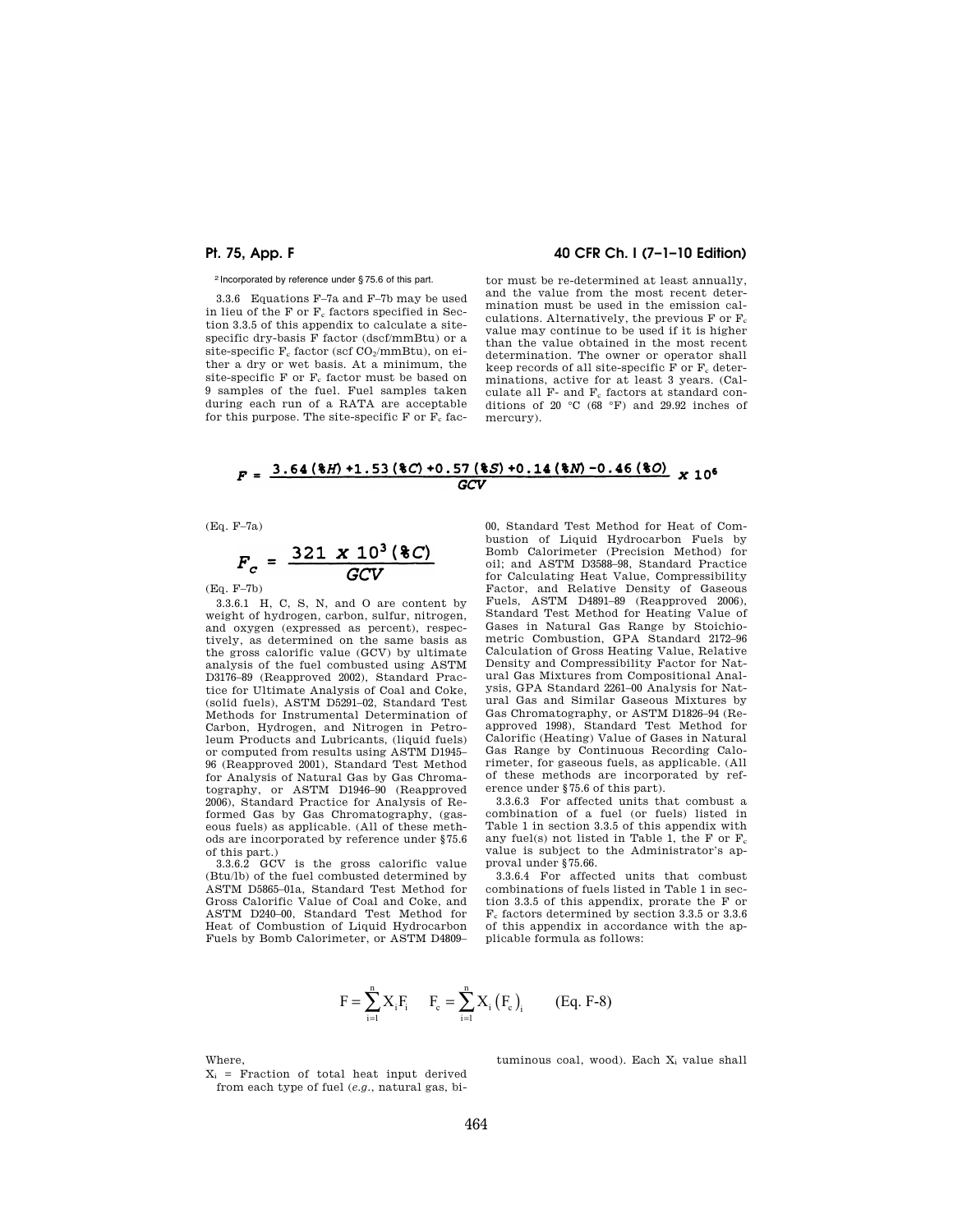# **Pt. 75, App. F 40 CFR Ch. I (7–1–10 Edition)**

2 Incorporated by reference under § 75.6 of this part.

3.3.6 Equations F–7a and F–7b may be used in lieu of the  $F$  or  $F_c$  factors specified in Section 3.3.5 of this appendix to calculate a sitespecific dry-basis F factor (dscf/mmBtu) or a site-specific  $F_c$  factor (scf  $CO_2/mmBtu$ ), on either a dry or wet basis. At a minimum, the site-specific $\mathbf F$  or  $\mathbf F_c$  factor must be based on 9 samples of the fuel. Fuel samples taken during each run of a RATA are acceptable for this purpose. The site-specific F or  $F_c$  fac-

tor must be re-determined at least annually, and the value from the most recent determination must be used in the emission calculations. Alternatively, the previous  $F$  or  $F_c$ value may continue to be used if it is higher than the value obtained in the most recent determination. The owner or operator shall keep records of all site-specific F or  $F_c$  determinations, active for at least 3 years. (Calculate all  $F-$  and  $F<sub>c</sub>$  factors at standard conditions of 20 $°C$  (68 $°F$ ) and 29.92 inches of mercury).

## $F = \frac{3.64 \times 10 + 1.53 \times 100}{100} \times 10^{6}$ GCV

(Eq. F–7a)

$$
F_c = \frac{321 \times 10^3 \, (\text{8}C)}{GCV}
$$

(Eq. F–7b)

3.3.6.1 H, C, S, N, and O are content by weight of hydrogen, carbon, sulfur, nitrogen, and oxygen (expressed as percent), respectively, as determined on the same basis as the gross calorific value (GCV) by ultimate analysis of the fuel combusted using ASTM D3176–89 (Reapproved 2002), Standard Practice for Ultimate Analysis of Coal and Coke, (solid fuels), ASTM D5291–02, Standard Test Methods for Instrumental Determination of Carbon, Hydrogen, and Nitrogen in Petroleum Products and Lubricants, (liquid fuels) or computed from results using ASTM D1945– 96 (Reapproved 2001), Standard Test Method for Analysis of Natural Gas by Gas Chromatography, or ASTM D1946–90 (Reapproved 2006), Standard Practice for Analysis of Reformed Gas by Gas Chromatography, (gaseous fuels) as applicable. (All of these methods are incorporated by reference under §75.6 of this part.)

3.3.6.2 GCV is the gross calorific value (Btu/lb) of the fuel combusted determined by ASTM D5865–01a, Standard Test Method for Gross Calorific Value of Coal and Coke, and ASTM D240–00, Standard Test Method for Heat of Combustion of Liquid Hydrocarbon Fuels by Bomb Calorimeter, or ASTM D4809–

00, Standard Test Method for Heat of Combustion of Liquid Hydrocarbon Fuels by Bomb Calorimeter (Precision Method) for oil; and ASTM D3588–98, Standard Practice for Calculating Heat Value, Compressibility Factor, and Relative Density of Gaseous Fuels, ASTM D4891–89 (Reapproved 2006), Standard Test Method for Heating Value of Gases in Natural Gas Range by Stoichiometric Combustion, GPA Standard 2172–96 Calculation of Gross Heating Value, Relative Density and Compressibility Factor for Natural Gas Mixtures from Compositional Analysis, GPA Standard 2261–00 Analysis for Natural Gas and Similar Gaseous Mixtures by Gas Chromatography, or ASTM D1826–94 (Reapproved 1998), Standard Test Method for Calorific (Heating) Value of Gases in Natural Gas Range by Continuous Recording Calorimeter, for gaseous fuels, as applicable. (All of these methods are incorporated by reference under §75.6 of this part).

3.3.6.3 For affected units that combust a combination of a fuel (or fuels) listed in Table 1 in section 3.3.5 of this appendix with any fuel(s) not listed in Table 1, the F or  $F_c$ value is subject to the Administrator's approval under §75.66.

3.3.6.4 For affected units that combust combinations of fuels listed in Table 1 in section 3.3.5 of this appendix, prorate the F or  $\mathrm{F_{c}}$  factors determined by section 3.3.5 or 3.3.6 of this appendix in accordance with the applicable formula as follows:

$$
F = \sum_{i=1}^{n} X_i F_i \qquad F_c = \sum_{i=1}^{n} X_i (F_c)_i \qquad (Eq. F-8)
$$

Where,

 $X_i$  = Fraction of total heat input derived from each type of fuel (*e.g.*, natural gas, bituminous coal, wood). Each X<sub>i</sub> value shall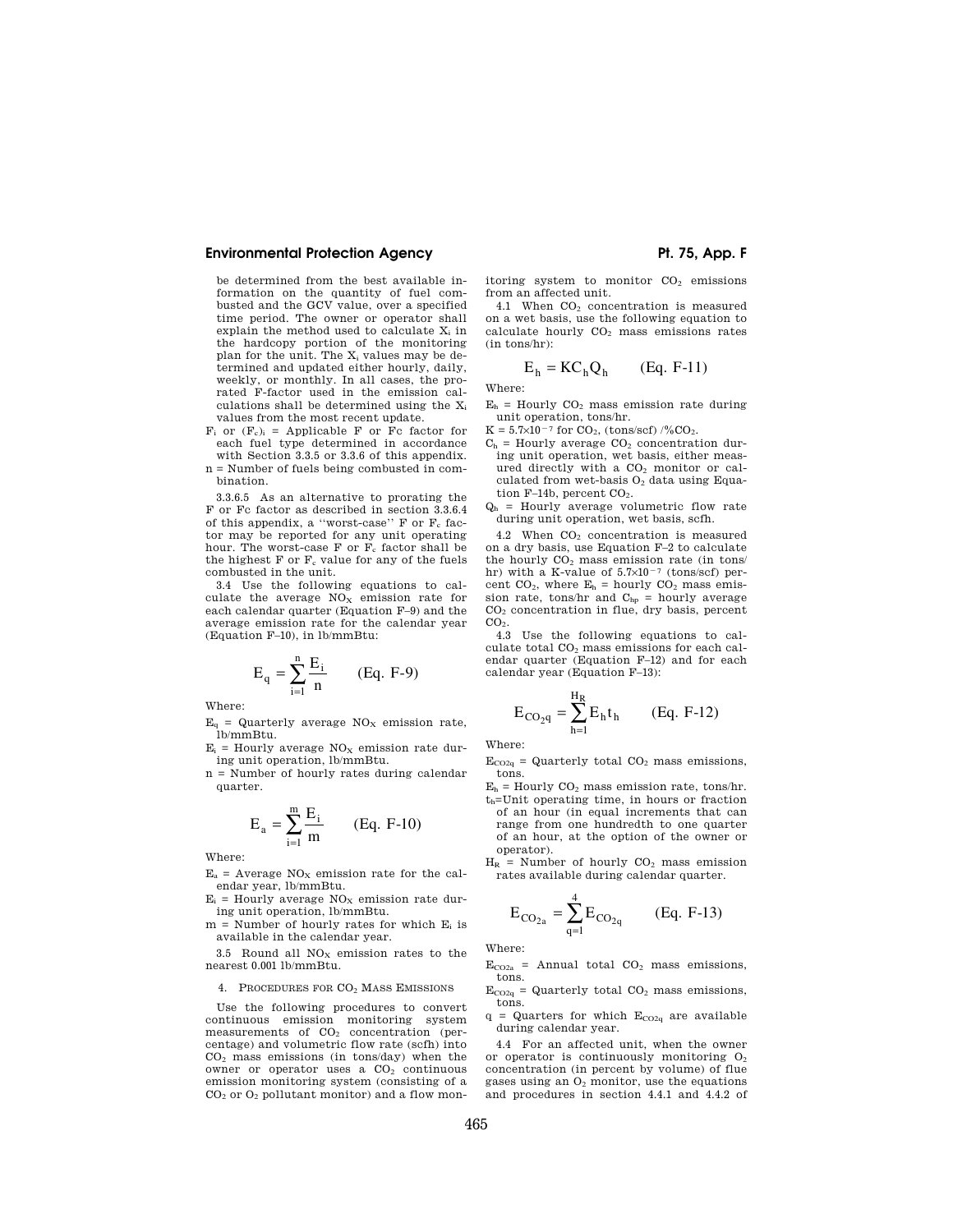be determined from the best available information on the quantity of fuel combusted and the GCV value, over a specified time period. The owner or operator shall explain the method used to calculate  $X_i$  in the hardcopy portion of the monitoring plan for the unit. The X<sub>i</sub> values may be determined and updated either hourly, daily, weekly, or monthly. In all cases, the prorated F-factor used in the emission calculations shall be determined using the X<sup>i</sup> values from the most recent update.

- $F_i$  or  $(F_c)_i$  = Applicable F or Fc factor for each fuel type determined in accordance with Section 3.3.5 or 3.3.6 of this appendix. n = Number of fuels being combusted in com-
- bination.

3.3.6.5 As an alternative to prorating the F or Fc factor as described in section 3.3.6.4 of this appendix, a "worst-case"  $F$  or  $F_c$  factor may be reported for any unit operating hour. The worst-case F or  $F_c$  factor shall be the highest  $F$  or  $F_c$  value for any of the fuels combusted in the unit.

3.4 Use the following equations to calculate the average  $NO<sub>x</sub>$  emission rate for each calendar quarter (Equation F–9) and the average emission rate for the calendar year (Equation F–10), in lb/mmBtu:

$$
E_q = \sum_{i=1}^n \frac{E_i}{n}
$$
 (Eq. F-9)

Where:

 $E_q$  = Quarterly average NO<sub>x</sub> emission rate, lb/mmBtu.

 $E_i$  = Hourly average NO<sub>x</sub> emission rate during unit operation, lb/mmBtu.

n = Number of hourly rates during calendar quarter.

$$
E_a = \sum_{i=1}^{m} \frac{E_i}{m}
$$
 (Eq. F-10)

Where:

 $E_a$  = Average  $NO<sub>x</sub>$  emission rate for the calendar year, lb/mmBtu.

- $E_i$  = Hourly average NO<sub>X</sub> emission rate during unit operation, lb/mmBtu.
- $m =$  Number of hourly rates for which  $E_i$  is available in the calendar year.

3.5 Round all  $NO<sub>x</sub>$  emission rates to the nearest 0.001 lb/mmBtu.

#### 4. PROCEDURES FOR CO<sub>2</sub> MASS EMISSIONS

Use the following procedures to convert continuous emission monitoring system measurements of  $CO<sub>2</sub>$  concentration (percentage) and volumetric flow rate (scfh) into  $CO<sub>2</sub>$  mass emissions (in tons/day) when the owner or operator uses a  $CO<sub>2</sub>$  continuous emission monitoring system (consisting of a  $CO<sub>2</sub>$  or  $O<sub>2</sub>$  pollutant monitor) and a flow mon-

itoring system to monitor  $CO<sub>2</sub>$  emissions from an affected unit.

4.1 When  $CO<sub>2</sub>$  concentration is measured on a wet basis, use the following equation to calculate hourly  $CO<sub>2</sub>$  mass emissions rates (in tons/hr):

$$
E_h = KC_h Q_h \qquad (Eq. F-11)
$$

Where:

 $E_h$  = Hourly  $CO_2$  mass emission rate during unit operation, tons/hr.

 $K = 5.7 \times 10^{-7}$  for  $CO_2$ , (tons/scf) /%CO<sub>2</sub>.

- $C_h$  = Hourly average  $CO_2$  concentration during unit operation, wet basis, either measured directly with a CO<sub>2</sub> monitor or calculated from wet-basis  $O<sub>2</sub>$  data using Equation  $F-14b$ , percent  $CO<sub>2</sub>$ .
- $Q<sub>h</sub>$  = Hourly average volumetric flow rate during unit operation, wet basis, scfh.

4.2 When  $CO<sub>2</sub>$  concentration is measured on a dry basis, use Equation F–2 to calculate the hourly  $CO<sub>2</sub>$  mass emission rate (in tons/ hr) with a K-value of  $5.7\times10^{-7}$  (tons/scf) percent CO<sub>2</sub>, where  $E_h$  = hourly CO<sub>2</sub> mass emission rate, tons/hr and C<sub>hp</sub> = hourly average CO<sup>2</sup> concentration in flue, dry basis, percent  $CO<sub>2</sub>$ .

4.3 Use the following equations to calculate total CO<sup>2</sup> mass emissions for each calendar quarter (Equation F–12) and for each calendar year (Equation F–13):

$$
E_{CO_{2}q} = \sum_{h=1}^{H_R} E_h t_h
$$
 (Eq. F-12)

Where:

- $E_{CO2q}$  = Quarterly total  $CO<sub>2</sub>$  mass emissions, tons.
- $E_h$  = Hourly  $CO_2$  mass emission rate, tons/hr. th=Unit operating time, in hours or fraction of an hour (in equal increments that can range from one hundredth to one quarter of an hour, at the option of the owner or operator).
- $H_R$  = Number of hourly  $CO<sub>2</sub>$  mass emission rates available during calendar quarter.

$$
E_{CO_{2a}} = \sum_{q=1}^{4} E_{CO_{2q}}
$$
 (Eq. F-13)

Where:

 $E_{CO2a}$  = Annual total  $CO<sub>2</sub>$  mass emissions, tons.

- $E_{CO2q}$  = Quarterly total  $CO<sub>2</sub>$  mass emissions, tons.
- $q$  = Quarters for which  $E_{CO2q}$  are available during calendar year.

4.4 For an affected unit, when the owner or operator is continuously monitoring  $O<sub>2</sub>$ concentration (in percent by volume) of flue gases using an O<sup>2</sup> monitor, use the equations and procedures in section 4.4.1 and 4.4.2 of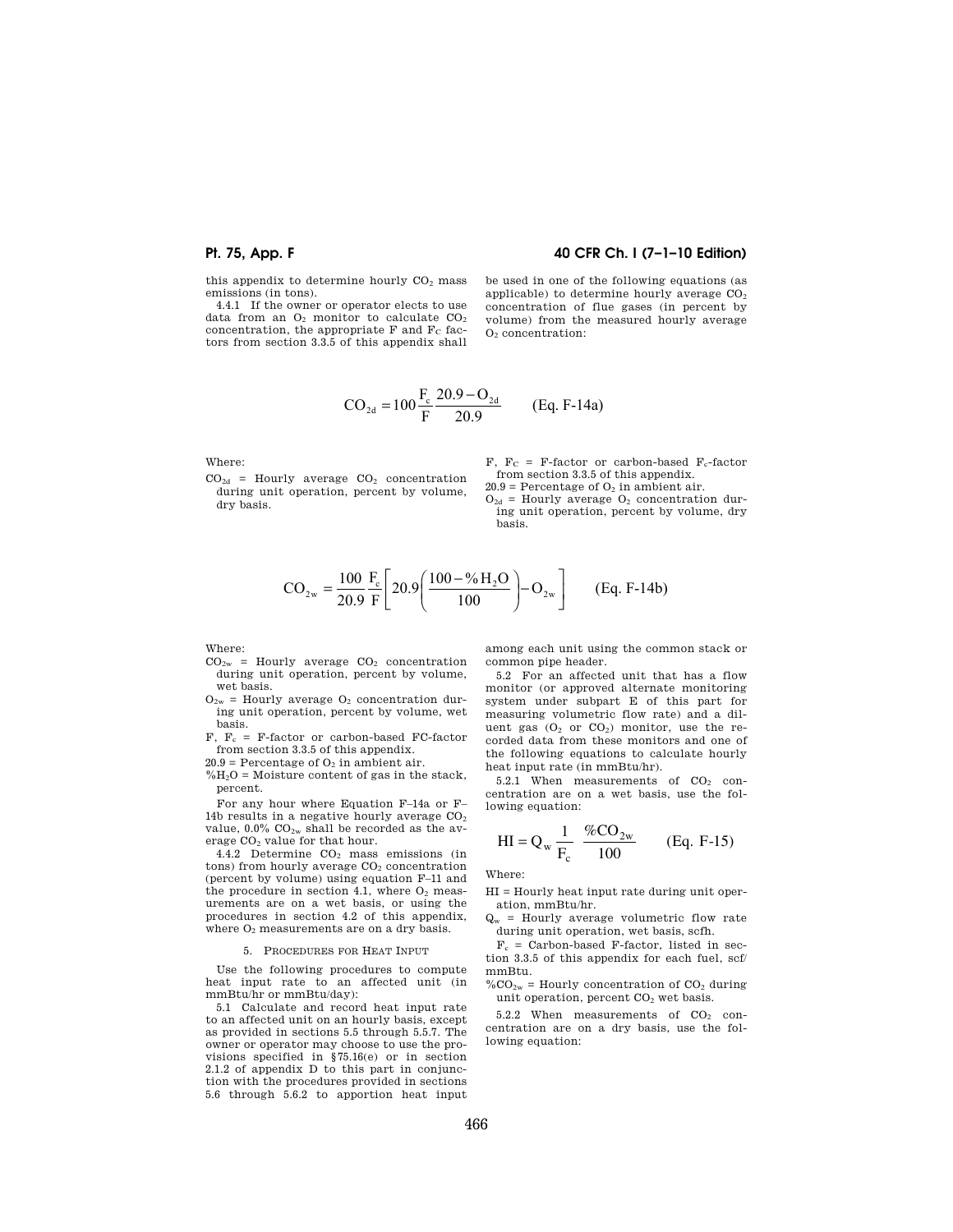## **Pt. 75, App. F 40 CFR Ch. I (7–1–10 Edition)**

this appendix to determine hourly  $CO<sub>2</sub>$  mass emissions (in tons).

4.4.1 If the owner or operator elects to use data from an  $O<sub>2</sub>$  monitor to calculate  $CO<sub>2</sub>$ concentration, the appropriate  $F$  and  $F_C$  factors from section 3.3.5 of this appendix shall be used in one of the following equations (as applicable) to determine hourly average  $CO<sub>2</sub>$ concentration of flue gases (in percent by volume) from the measured hourly average O<sup>2</sup> concentration:

$$
CO_{2d} = 100 \frac{F_c}{F} \frac{20.9 - O_{2d}}{20.9}
$$
 (Eq. F-14a)

Where:

 $CO<sub>2d</sub>$  = Hourly average  $CO<sub>2</sub>$  concentration during unit operation, percent by volume, dry basis.

F,  $F_C$  = F-factor or carbon-based F<sub>c</sub>-factor from section 3.3.5 of this appendix.

 $20.9$  = Percentage of  $O<sub>2</sub>$  in ambient air.

 $O_{2d}$  = Hourly average  $O_2$  concentration during unit operation, percent by volume, dry basis.

$$
CO_{2w} = \frac{100}{20.9} \frac{F_e}{F} \left[ 20.9 \left( \frac{100 - \% H_2O}{100} \right) - O_{2w} \right]
$$
 (Eq. F-14b)

Where:

- $CO<sub>2w</sub>$  = Hourly average  $CO<sub>2</sub>$  concentration during unit operation, percent by volume, wet basis.
- $O_{2w}$  = Hourly average  $O_2$  concentration during unit operation, percent by volume, wet basis.
- $F. F_c = F-factor$  or carbon-based FC-factor from section 3.3.5 of this appendix.

 $20.9$  = Percentage of  $O<sub>2</sub>$  in ambient air.

 $\% \mathrm{H_2O}$  = Moisture content of gas in the stack, percent.

For any hour where Equation F–14a or F– 14b results in a negative hourly average  $CO<sub>2</sub>$ value,  $0.0\%$  CO<sub>2w</sub> shall be recorded as the average CO<sub>2</sub> value for that hour.

4.4.2 Determine CO<sub>2</sub> mass emissions (in  $tons)$  from hourly average  $CO<sub>2</sub>$  concentration (percent by volume) using equation F–11 and the procedure in section 4.1, where  $O<sub>2</sub>$  measurements are on a wet basis, or using the procedures in section 4.2 of this appendix, where  $O<sub>2</sub>$  measurements are on a dry basis.

#### 5. PROCEDURES FOR HEAT INPUT

Use the following procedures to compute heat input rate to an affected unit (in mmBtu/hr or mmBtu/day):

5.1 Calculate and record heat input rate to an affected unit on an hourly basis, except as provided in sections 5.5 through 5.5.7. The owner or operator may choose to use the provisions specified in §75.16(e) or in section 2.1.2 of appendix D to this part in conjunction with the procedures provided in sections 5.6 through 5.6.2 to apportion heat input

among each unit using the common stack or common pipe header.

5.2 For an affected unit that has a flow monitor (or approved alternate monitoring system under subpart E of this part for measuring volumetric flow rate) and a diluent gas  $(O_2 \text{ or } CO_2)$  monitor, use the recorded data from these monitors and one of the following equations to calculate hourly heat input rate (in mmBtu/hr).

5.2.1 When measurements of  $CO<sub>2</sub>$  concentration are on a wet basis, use the following equation:

$$
HI = Q_w \frac{1}{F_c} \frac{\%CO_{2w}}{100} \qquad (Eq. F-15)
$$

Where:

HI = Hourly heat input rate during unit operation, mmBtu/hr.

 $Q_w$  = Hourly average volumetric flow rate during unit operation, wet basis, scfh.

 $F_c$  = Carbon-based F-factor, listed in section 3.3.5 of this appendix for each fuel, scf/ mmBtu.

 $\%CO_{2w}$  = Hourly concentration of CO<sub>2</sub> during unit operation, percent  $CO<sub>2</sub>$  wet basis.

5.2.2 When measurements of  $CO<sub>2</sub>$  concentration are on a dry basis, use the following equation: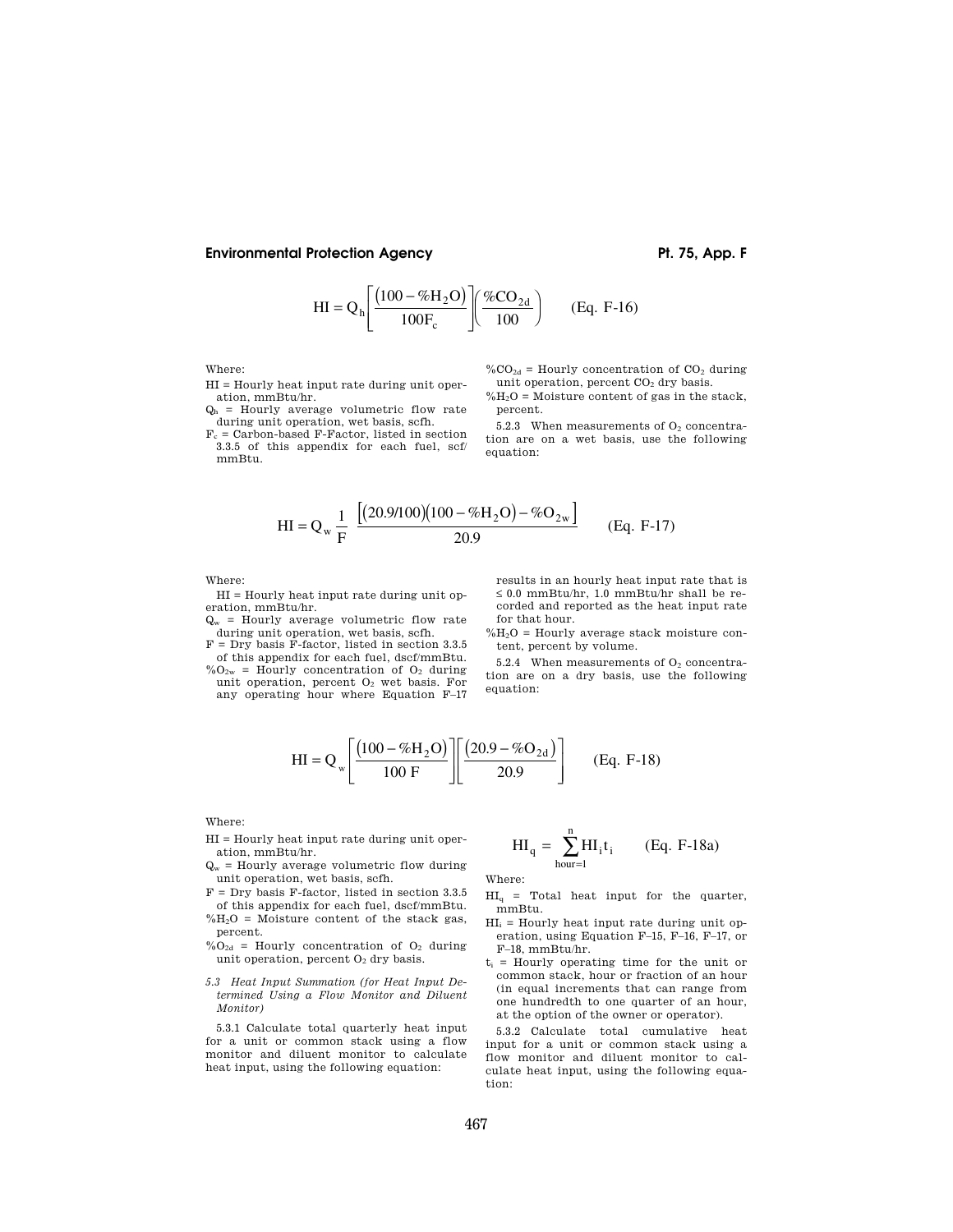$$
HI = Qh \left[ \frac{(100 - \%H2O)}{100Fc} \right] \left( \frac%{{CO}_{2d}}{100} \right)
$$
 (Eq. F-16)

Where:

- HI = Hourly heat input rate during unit operation, mmBtu/hr.
- $Q_h$  = Hourly average volumetric flow rate during unit operation, wet basis, scfh.
- $F_c$  = Carbon-based F-Factor, listed in section 3.3.5 of this appendix for each fuel, scf/ mmBtu.

 $\%CO_{2d}$  = Hourly concentration of CO<sub>2</sub> during unit operation, percent  $CO<sub>2</sub>$  dry basis.  $\% {\rm H_2O}$  = Moisture content of gas in the stack, percent.

5.2.3 When measurements of  $O<sub>2</sub>$  concentration are on a wet basis, use the following equation:

$$
HI = Q_w \frac{1}{F} \frac{[(20.9/100)(100 - %H_2O) - %O_{2w}]}{20.9}
$$
 (Eq. F-17)

Where:

HI = Hourly heat input rate during unit operation, mmBtu/hr.

 $Q_w$  = Hourly average volumetric flow rate during unit operation, wet basis, scfh.

 $F = Dry$  basis  $F$ -factor, listed in section 3.3.5 of this appendix for each fuel, dscf/mmBtu.

 $\%O_{2w}$  = Hourly concentration of  $O_2$  during unit operation, percent  $O<sub>2</sub>$  wet basis. For any operating hour where Equation F–17 results in an hourly heat input rate that is ≤ 0.0 mmBtu/hr, 1.0 mmBtu/hr shall be recorded and reported as the heat input rate for that hour.

 $\%H_2O$  = Hourly average stack moisture content, percent by volume.

5.2.4 When measurements of  $O<sub>2</sub>$  concentration are on a dry basis, use the following equation:

$$
HI = Q_w \left[ \frac{(100 - \%H_2O)}{100 F} \right] \left[ \frac{(20.9 - \%O_{2d})}{20.9} \right]
$$
 (Eq. F-18)

Where:

- HI = Hourly heat input rate during unit operation, mmBtu/hr.
- $Q_w$  = Hourly average volumetric flow during unit operation, wet basis, scfh.
- $F = Dry basis F-factor, listed in section 3.3.5$ of this appendix for each fuel, dscf/mmBtu.  $\%H_2O$  = Moisture content of the stack gas,
- percent.  $%$  $O_{2d}$  = Hourly concentration of O<sub>2</sub> during
- unit operation, percent  $O<sub>2</sub>$  dry basis.
- *5.3 Heat Input Summation (for Heat Input Determined Using a Flow Monitor and Diluent Monitor)*

5.3.1 Calculate total quarterly heat input for a unit or common stack using a flow monitor and diluent monitor to calculate heat input, using the following equation:

$$
HI_q = \sum_{hour=1}^{n} HI_i t_i
$$
 (Eq. F-18a)

Where:

- $HI<sub>q</sub>$  = Total heat input for the quarter, mmBtu.
- $HI<sub>i</sub>$  = Hourly heat input rate during unit operation, using Equation F–15, F–16, F–17, or F–18, mmBtu/hr.
- $t_i$  = Hourly operating time for the unit or common stack, hour or fraction of an hour (in equal increments that can range from one hundredth to one quarter of an hour, at the option of the owner or operator).

5.3.2 Calculate total cumulative heat input for a unit or common stack using a flow monitor and diluent monitor to calculate heat input, using the following equation: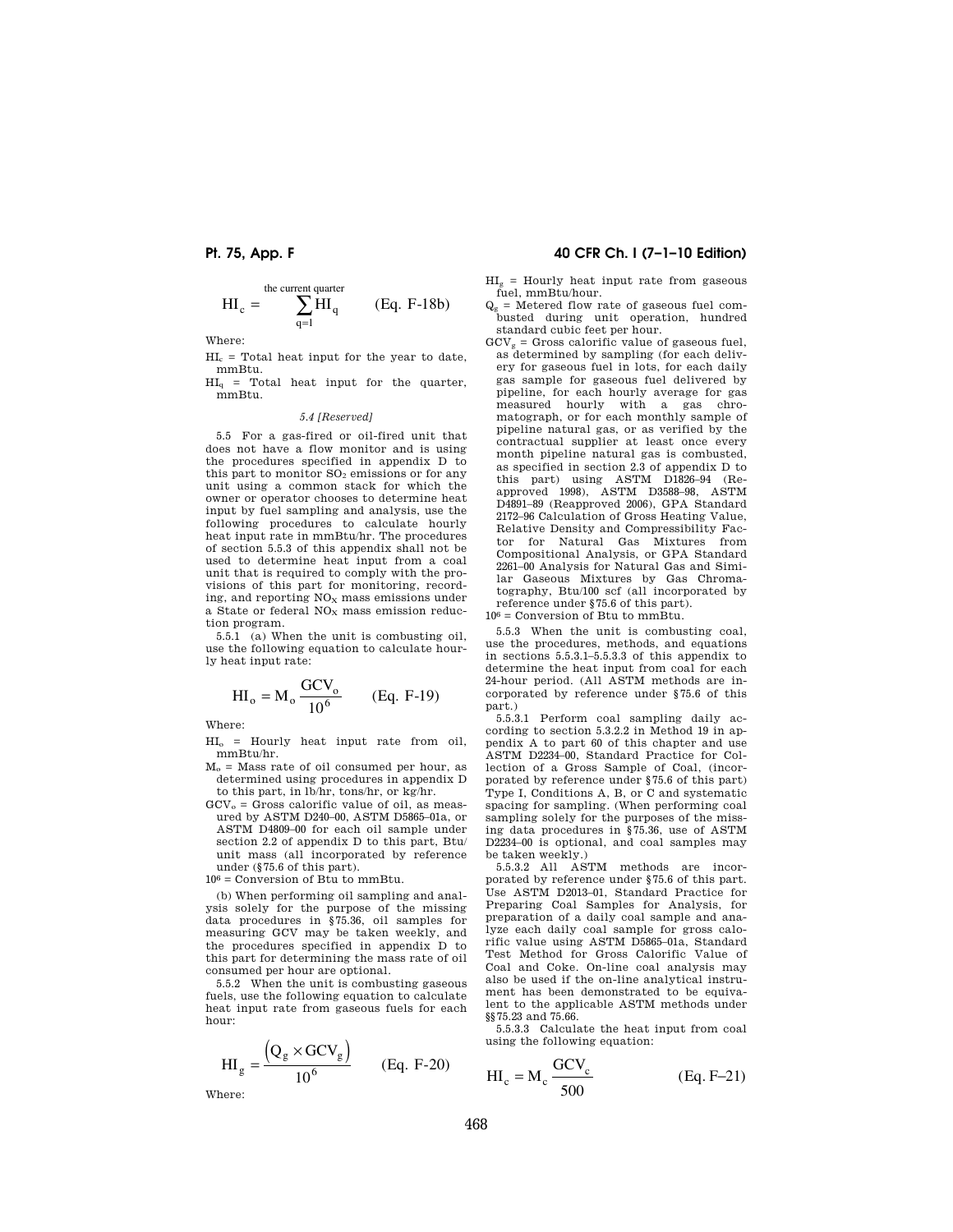$$
HI_c = \sum_{q=1}^{\text{the current quarter}} HI_q \qquad (Eq. F-18b)
$$

Where:

 $HI<sub>c</sub>$  = Total heat input for the year to date, mmBtu.

 $HI<sub>q</sub>$  = Total heat input for the quarter, mmBtu.

### *5.4 [Reserved]*

5.5 For a gas-fired or oil-fired unit that does not have a flow monitor and is using the procedures specified in appendix D to this part to monitor  $SO<sub>2</sub>$  emissions or for any unit using a common stack for which the owner or operator chooses to determine heat input by fuel sampling and analysis, use the following procedures to calculate hourly heat input rate in mmBtu/hr. The procedures of section 5.5.3 of this appendix shall not be used to determine heat input from a coal unit that is required to comply with the provisions of this part for monitoring, recording, and reporting  $\rm{NO_{X}}$  mass emissions under a State or federal  $NO<sub>x</sub>$  mass emission reduction program.

5.5.1 (a) When the unit is combusting oil, use the following equation to calculate hourly heat input rate:

$$
HI_o = M_o \frac{GCV_o}{10^6}
$$
 (Eq. F-19)

Where:

 $\rm HI_o$  = Hourly heat input rate from oil, mmBtu/hr.

- $M<sub>o</sub>$  = Mass rate of oil consumed per hour, as determined using procedures in appendix D to this part, in lb/hr, tons/hr, or kg/hr.
- $GCV<sub>o</sub> = Gross$  calorific value of oil, as measured by ASTM D240–00, ASTM D5865–01a, or ASTM D4809–00 for each oil sample under section 2.2 of appendix D to this part, Btu/ unit mass (all incorporated by reference under (§75.6 of this part).

 $10<sup>6</sup>$  = Conversion of Btu to mmBtu.

(b) When performing oil sampling and analysis solely for the purpose of the missing data procedures in §75.36, oil samples for measuring GCV may be taken weekly, and the procedures specified in appendix D to this part for determining the mass rate of oil consumed per hour are optional.

5.5.2 When the unit is combusting gaseous fuels, use the following equation to calculate heat input rate from gaseous fuels for each hour:

$$
HI_g = \frac{Q_g \times GCV_g)}{10^6}
$$
 (Eq. F-20)

Where:

## **Pt. 75, App. F 40 CFR Ch. I (7–1–10 Edition)**

 $HI<sub>g</sub>$  = Hourly heat input rate from gaseous fuel, mmBtu/hour.

- $Q_g$  = Metered flow rate of gaseous fuel combusted during unit operation, hundred standard cubic feet per hour.
- $GCV<sub>s</sub> = Gross$  calorific value of gaseous fuel. as determined by sampling (for each delivery for gaseous fuel in lots, for each daily gas sample for gaseous fuel delivered by pipeline, for each hourly average for gas measured hourly with a gas chromatograph, or for each monthly sample of pipeline natural gas, or as verified by the contractual supplier at least once every month pipeline natural gas is combusted, as specified in section 2.3 of appendix D to this part) using ASTM D1826–94 (Reapproved 1998), ASTM D3588–98, ASTM D4891–89 (Reapproved 2006), GPA Standard 2172–96 Calculation of Gross Heating Value, Relative Density and Compressibility Factor for Natural Gas Mixtures from Compositional Analysis, or GPA Standard 2261–00 Analysis for Natural Gas and Similar Gaseous Mixtures by Gas Chromatography, Btu/100 scf (all incorporated by reference under §75.6 of this part).

106 = Conversion of Btu to mmBtu.

5.5.3 When the unit is combusting coal, use the procedures, methods, and equations in sections 5.5.3.1–5.5.3.3 of this appendix to determine the heat input from coal for each 24-hour period. (All ASTM methods are incorporated by reference under §75.6 of this part.)

5.5.3.1 Perform coal sampling daily according to section 5.3.2.2 in Method 19 in appendix A to part 60 of this chapter and use ASTM D2234–00, Standard Practice for Collection of a Gross Sample of Coal, (incorporated by reference under §75.6 of this part) Type I, Conditions A, B, or C and systematic spacing for sampling. (When performing coal sampling solely for the purposes of the missing data procedures in §75.36, use of ASTM D2234–00 is optional, and coal samples may be taken weekly.)

5.5.3.2 All ASTM methods are incorporated by reference under §75.6 of this part. Use ASTM D2013–01, Standard Practice for Preparing Coal Samples for Analysis, for preparation of a daily coal sample and analyze each daily coal sample for gross calorific value using ASTM D5865–01a, Standard Test Method for Gross Calorific Value of Coal and Coke. On-line coal analysis may also be used if the on-line analytical instrument has been demonstrated to be equivalent to the applicable ASTM methods under §§75.23 and 75.66.

5.5.3.3 Calculate the heat input from coal using the following equation:

$$
HI_c = M_c \frac{GCV_c}{500}
$$
 (Eq. F-21)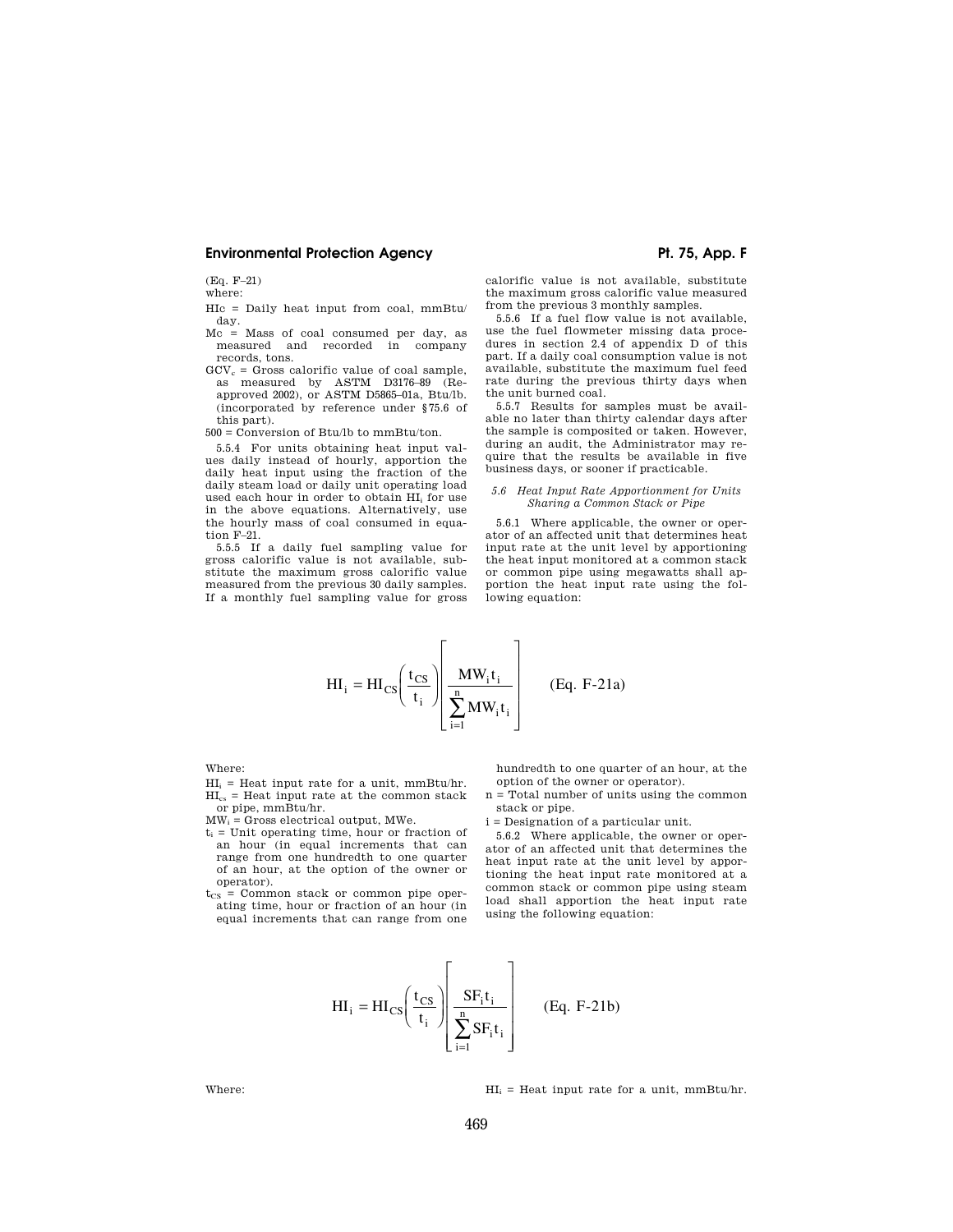(Eq. F–21)

where:

HIc = Daily heat input from coal, mmBtu/ day.

- Mc = Mass of coal consumed per day, as measured and recorded in company records, tons.
- $GCV_c = Gross$  calorific value of coal sample, as measured by ASTM D3176–89 (Reapproved 2002), or ASTM D5865–01a, Btu/lb. (incorporated by reference under §75.6 of this part).

500 = Conversion of Btu/lb to mmBtu/ton.

5.5.4 For units obtaining heat input values daily instead of hourly, apportion the daily heat input using the fraction of the daily steam load or daily unit operating load used each hour in order to obtain HI<sub>i</sub> for use in the above equations. Alternatively, use the hourly mass of coal consumed in equation F–21.

5.5.5 If a daily fuel sampling value for gross calorific value is not available, substitute the maximum gross calorific value measured from the previous 30 daily samples. If a monthly fuel sampling value for gross

calorific value is not available, substitute the maximum gross calorific value measured from the previous 3 monthly samples.

5.5.6 If a fuel flow value is not available, use the fuel flowmeter missing data procedures in section 2.4 of appendix D of this part. If a daily coal consumption value is not available, substitute the maximum fuel feed rate during the previous thirty days when the unit burned coal.

5.5.7 Results for samples must be available no later than thirty calendar days after the sample is composited or taken. However, during an audit, the Administrator may require that the results be available in five business days, or sooner if practicable.

### *5.6 Heat Input Rate Apportionment for Units Sharing a Common Stack or Pipe*

5.6.1 Where applicable, the owner or operator of an affected unit that determines heat input rate at the unit level by apportioning the heat input monitored at a common stack or common pipe using megawatts shall apportion the heat input rate using the following equation:

$$
HI_{i} = HI_{CS} \left(\frac{t_{CS}}{t_{i}}\right) \left[\frac{MW_{i}t_{i}}{\sum_{i=1}^{n} MW_{i}t_{i}}\right]
$$
 (Eq. F-21a)

Where:

- $HI<sub>i</sub>$  = Heat input rate for a unit, mmBtu/hr.  $HI<sub>cs</sub>$  = Heat input rate at the common stack or pipe, mmBtu/hr.
- $MW_i = Gross$  electrical output, MWe.
- $t_i$  = Unit operating time, hour or fraction of an hour (in equal increments that can range from one hundredth to one quarter of an hour, at the option of the owner or operator).
- $t_{CS}$  = Common stack or common pipe operating time, hour or fraction of an hour (in equal increments that can range from one

hundredth to one quarter of an hour, at the option of the owner or operator).

n = Total number of units using the common stack or pipe.

i = Designation of a particular unit.

5.6.2 Where applicable, the owner or operator of an affected unit that determines the heat input rate at the unit level by apportioning the heat input rate monitored at a common stack or common pipe using steam load shall apportion the heat input rate using the following equation:

$$
HI_{i} = HI_{CS}\left(\frac{t_{CS}}{t_{i}}\right)\left(\frac{SF_{i}t_{i}}{\sum_{i=1}^{n} SF_{i}t_{i}}\right)
$$
 (Eq. F-21b)

Where:  $H_i = \text{Heat input rate for a unit, mmBtu/hr.}$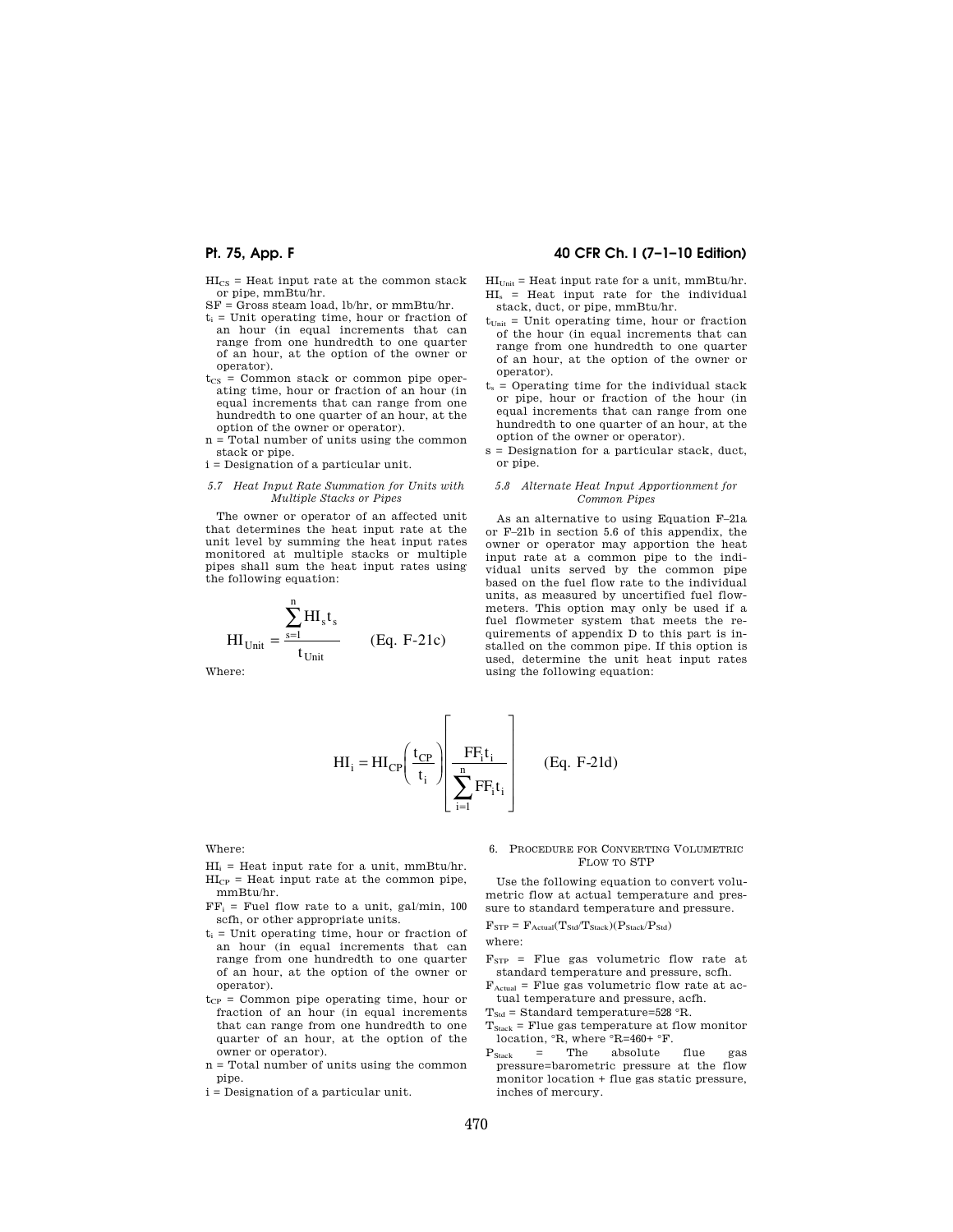${\rm HI_{CS}}$  = Heat input rate at the common stack or pipe, mmBtu/hr.

 $SF = Gross$  steam load, lb/hr, or mmBtu/hr.

- $t_i$  = Unit operating time, hour or fraction of an hour (in equal increments that can range from one hundredth to one quarter of an hour, at the option of the owner or operator).
- $t_{CS}$  = Common stack or common pipe operating time, hour or fraction of an hour (in equal increments that can range from one hundredth to one quarter of an hour, at the option of the owner or operator).
- n = Total number of units using the common stack or pipe.
- i = Designation of a particular unit.
- *5.7 Heat Input Rate Summation for Units with Multiple Stacks or Pipes*

The owner or operator of an affected unit that determines the heat input rate at the unit level by summing the heat input rates monitored at multiple stacks or multiple pipes shall sum the heat input rates using the following equation:

$$
HI_{Unit} = \frac{\sum_{s=1}^{n} HI_{s}t_{s}}{t_{Unit}}
$$
 (Eq. F-21c)

Where:

## **Pt. 75, App. F 40 CFR Ch. I (7–1–10 Edition)**

 $HI<sub>Unit</sub>$  = Heat input rate for a unit, mmBtu/hr.  $HI<sub>s</sub>$  = Heat input rate for the individual stack, duct, or pipe, mmBtu/hr.

- $t_{Unit}$  = Unit operating time, hour or fraction of the hour (in equal increments that can range from one hundredth to one quarter of an hour, at the option of the owner or operator).
- $t_s$  = Operating time for the individual stack or pipe, hour or fraction of the hour (in equal increments that can range from one hundredth to one quarter of an hour, at the option of the owner or operator).
- s = Designation for a particular stack, duct, or pipe.

### *5.8 Alternate Heat Input Apportionment for Common Pipes*

As an alternative to using Equation F–21a or F–21b in section 5.6 of this appendix, the owner or operator may apportion the heat input rate at a common pipe to the individual units served by the common pipe based on the fuel flow rate to the individual units, as measured by uncertified fuel flowmeters. This option may only be used if a fuel flowmeter system that meets the requirements of appendix D to this part is installed on the common pipe. If this option is used, determine the unit heat input rates using the following equation:

$$
HI_{i} = HI_{CP} \left(\frac{t_{CP}}{t_{i}}\right) \left[\frac{FF_{i}t_{i}}{\sum_{i=1}^{n} FF_{i}t_{i}}\right] \qquad (Eq. F-21d)
$$

Where:

- $HI_i$  = Heat input rate for a unit, mmBtu/hr.  $HI_{CP}$  = Heat input rate at the common pipe, mmBtu/hr.
- $FF_i$  = Fuel flow rate to a unit, gal/min, 100 scfh, or other appropriate units.
- $t_i$  = Unit operating time, hour or fraction of an hour (in equal increments that can range from one hundredth to one quarter of an hour, at the option of the owner or operator).
- $t_{CP}$  = Common pipe operating time, hour or fraction of an hour (in equal increments that can range from one hundredth to one quarter of an hour, at the option of the owner or operator).
- n = Total number of units using the common pipe.
- i = Designation of a particular unit.

### 6. PROCEDURE FOR CONVERTING VOLUMETRIC FLOW TO STP

Use the following equation to convert volumetric flow at actual temperature and pressure to standard temperature and pressure.  $F_{STP} = F_{Actual}(T_{Std}/T_{Stack})(P_{Stack}/P_{Std})$ 

where:

- $F<sub>STP</sub>$  = Flue gas volumetric flow rate at standard temperature and pressure, scfh.
- $F_{\text{Actual}}$  = Flue gas volumetric flow rate at actual temperature and pressure, acfh.
- $T<sub>Std</sub>$  = Standard temperature=528 °R.
- $T_{\text{Stack}}$  = Flue gas temperature at flow monitor location,  ${}^{\circ}R$ , where  ${}^{\circ}R=460+{}^{\circ}F$ .<br>  $\phantom{F}$  = The absolute
- $P_{Stack}$  = The absolute flue gas pressure=barometric pressure at the flow monitor location + flue gas static pressure, inches of mercury.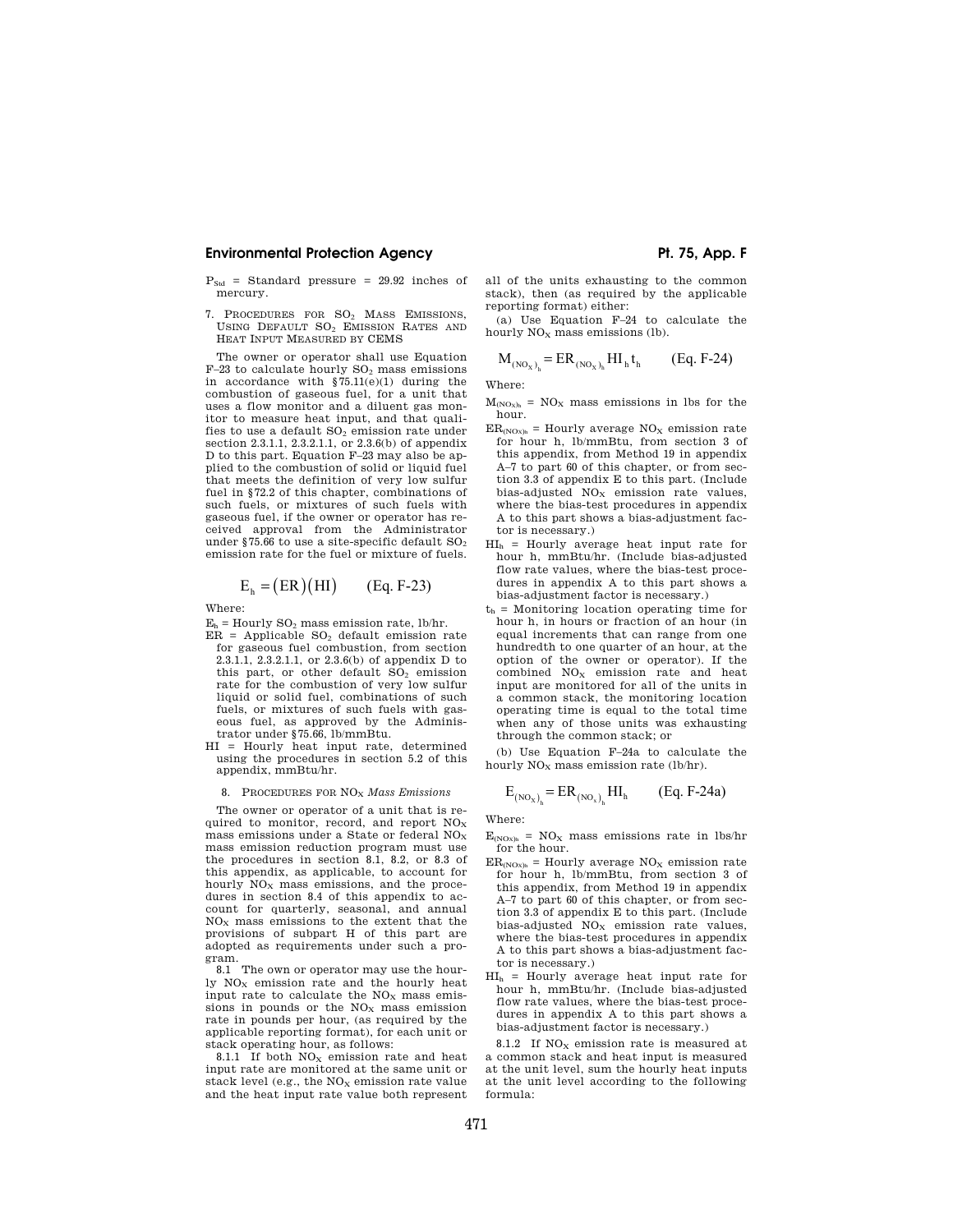- $P_{\text{Std}}$  = Standard pressure = 29.92 inches of mercury.
- 7. PROCEDURES FOR SO<sup>2</sup> MASS EMISSIONS, USING DEFAULT SO<sup>2</sup> EMISSION RATES AND HEAT INPUT MEASURED BY CEMS

The owner or operator shall use Equation  $F-23$  to calculate hourly  $SO<sub>2</sub>$  mass emissions in accordance with  $\frac{$75.11(e)(1)}{1}$  during the combustion of gaseous fuel, for a unit that uses a flow monitor and a diluent gas monitor to measure heat input, and that qualifies to use a default SO<sup>2</sup> emission rate under section 2.3.1.1, 2.3.2.1.1, or 2.3.6(b) of appendix D to this part. Equation F–23 may also be applied to the combustion of solid or liquid fuel that meets the definition of very low sulfur fuel in §72.2 of this chapter, combinations of such fuels, or mixtures of such fuels with gaseous fuel, if the owner or operator has received approval from the Administrator under §75.66 to use a site-specific default  $SO_2$ emission rate for the fuel or mixture of fuels.

$$
E_h = (ER)(HI) \qquad (Eq. F-23)
$$

Where:

- $E_h$  = Hourly  $SO_2$  mass emission rate, lb/hr.
- $ER = Applicable SO<sub>2</sub> default emission rate$ for gaseous fuel combustion, from section 2.3.1.1, 2.3.2.1.1, or 2.3.6(b) of appendix D to this part, or other default  $SO<sub>2</sub>$  emission rate for the combustion of very low sulfur liquid or solid fuel, combinations of such fuels, or mixtures of such fuels with gaseous fuel, as approved by the Administrator under §75.66, lb/mmBtu.
- HI = Hourly heat input rate, determined using the procedures in section 5.2 of this appendix, mmBtu/hr.

#### 8. PROCEDURES FOR NO<sup>X</sup> *Mass Emissions*

The owner or operator of a unit that is required to monitor, record, and report  $NO<sub>x</sub>$ mass emissions under a State or federal  $NO<sub>x</sub>$ mass emission reduction program must use the procedures in section 8.1, 8.2, or 8.3 of this appendix, as applicable, to account for hourly  $NO_{\rm v}$  mass emissions, and the procedures in section 8.4 of this appendix to account for quarterly, seasonal, and annual  $NO<sub>x</sub>$  mass emissions to the extent that the provisions of subpart H of this part are adopted as requirements under such a program.

8.1 The own or operator may use the hourly  $NO<sub>x</sub>$  emission rate and the hourly heat input rate to calculate the  $NO<sub>x</sub>$  mass emissions in pounds or the  $NO<sub>x</sub>$  mass emission rate in pounds per hour, (as required by the applicable reporting format), for each unit or stack operating hour, as follows:

8.1.1 If both  $NO<sub>x</sub>$  emission rate and heat input rate are monitored at the same unit or stack level (e.g., the  $NO<sub>x</sub>$  emission rate value and the heat input rate value both represent all of the units exhausting to the common stack), then (as required by the applicable reporting format) either:

(a) Use Equation F–24 to calculate the hourly  $NO<sub>x</sub>$  mass emissions (lb).

$$
M_{(NO_X)_h} = ER_{(NO_X)_h} HI_h t_h
$$
 (Eq. F-24)

Where:

- $M_{(NOx)_h} = NO_x$  mass emissions in lbs for the hour.
- $ER_{(NO_x)_h}$  = Hourly average NO<sub>x</sub> emission rate for hour h, lb/mmBtu, from section 3 of this appendix, from Method 19 in appendix A–7 to part 60 of this chapter, or from section 3.3 of appendix E to this part. (Include bias-adjusted  $NO<sub>x</sub>$  emission rate values, where the bias-test procedures in appendix A to this part shows a bias-adjustment factor is necessary.)
- HI<sup>h</sup> = Hourly average heat input rate for hour h, mmBtu/hr. (Include bias-adjusted flow rate values, where the bias-test procedures in appendix A to this part shows a bias-adjustment factor is necessary.)
- $t<sub>b</sub>$  = Monitoring location operating time for hour h, in hours or fraction of an hour (in equal increments that can range from one hundredth to one quarter of an hour, at the option of the owner or operator). If the combined  $NO<sub>x</sub>$  emission rate and heat input are monitored for all of the units in a common stack, the monitoring location operating time is equal to the total time when any of those units was exhausting through the common stack; or

(b) Use Equation F–24a to calculate the hourly  $NO<sub>x</sub>$  mass emission rate (lb/hr).

$$
E_{(NO_X)}_h = ER_{(NO_X)}_h HI_h
$$
 (Eq. F-24a)

Where:

- $E_{(NOx)_{h}}$  = NO<sub>X</sub> mass emissions rate in lbs/hr for the hour.
- $ER_{(NOx)_h}$  = Hourly average NO<sub>x</sub> emission rate for hour h, lb/mmBtu, from section 3 of this appendix, from Method 19 in appendix A–7 to part 60 of this chapter, or from section 3.3 of appendix E to this part. (Include bias-adjusted  $NO<sub>x</sub>$  emission rate values. where the bias-test procedures in appendix A to this part shows a bias-adjustment factor is necessary.)
- HI<sup>h</sup> = Hourly average heat input rate for hour h, mmBtu/hr. (Include bias-adjusted flow rate values, where the bias-test procedures in appendix A to this part shows a bias-adjustment factor is necessary.)

8.1.2 If  $NO<sub>x</sub>$  emission rate is measured at a common stack and heat input is measured at the unit level, sum the hourly heat inputs at the unit level according to the following formula: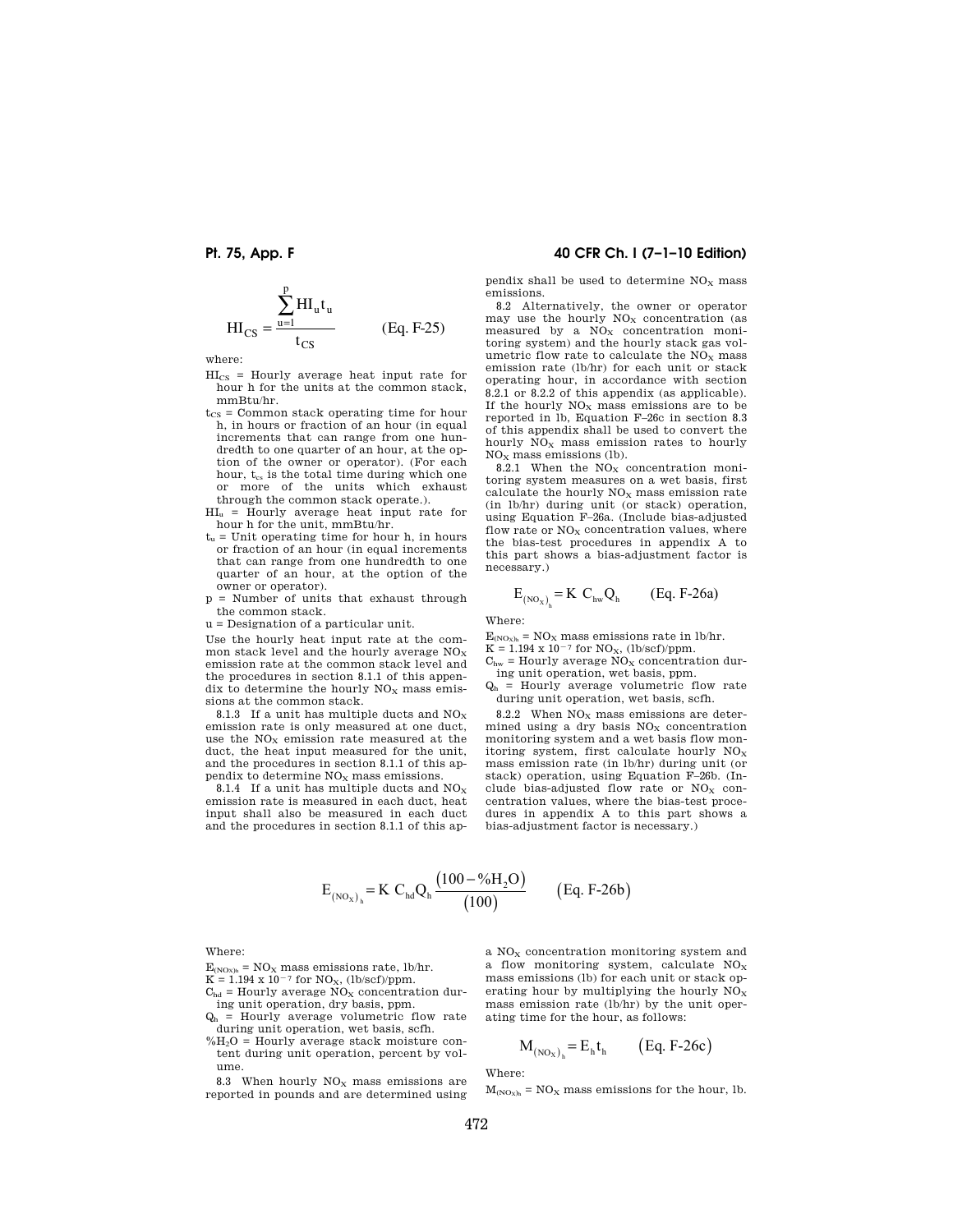$$
HI_{CS} = \frac{\sum_{u=1}^{p} HI_{u}t_{u}}{t_{CS}}
$$
 (Eq. F-25)

where:

- $HI<sub>CS</sub>$  = Hourly average heat input rate for hour h for the units at the common stack, mmBtu/hr.
- $t_{\text{CS}}$  = Common stack operating time for hour h, in hours or fraction of an hour (in equal increments that can range from one hundredth to one quarter of an hour, at the option of the owner or operator). (For each hour,  $t_{cs}$  is the total time during which one or more of the units which exhaust through the common stack operate.).
- HI<sup>u</sup> = Hourly average heat input rate for hour h for the unit, mmBtu/hr.
- $t_u$  = Unit operating time for hour h, in hours or fraction of an hour (in equal increments that can range from one hundredth to one quarter of an hour, at the option of the owner or operator).
- p = Number of units that exhaust through the common stack.

u = Designation of a particular unit.

Use the hourly heat input rate at the common stack level and the hourly average  $NO<sub>x</sub>$ emission rate at the common stack level and the procedures in section 8.1.1 of this appendix to determine the hourly  $NO<sub>x</sub>$  mass emissions at the common stack.

8.1.3 If a unit has multiple ducts and  $NO<sub>x</sub>$ emission rate is only measured at one duct, use the  $NO<sub>x</sub>$  emission rate measured at the duct, the heat input measured for the unit, and the procedures in section 8.1.1 of this appendix to determine  $\rm{NO_{X}}$  mass emissions.

8.1.4 If a unit has multiple ducts and  $NO<sub>x</sub>$ emission rate is measured in each duct, heat input shall also be measured in each duct and the procedures in section 8.1.1 of this ap-

## **Pt. 75, App. F 40 CFR Ch. I (7–1–10 Edition)**

pendix shall be used to determine  $NO<sub>x</sub>$  mass emissions.

8.2 Alternatively, the owner or operator may use the hourly  $NO<sub>x</sub>$  concentration (as measured by a  $NO<sub>x</sub>$  concentration monitoring system) and the hourly stack gas volumetric flow rate to calculate the  $\rm{NO_{X}}$  mass emission rate (lb/hr) for each unit or stack operating hour, in accordance with section 8.2.1 or 8.2.2 of this appendix (as applicable). If the hourly  $NO<sub>x</sub>$  mass emissions are to be reported in lb, Equation F–26c in section 8.3 of this appendix shall be used to convert the hourly  $\overline{NO_X}$  mass emission rates to hourly  $NO<sub>x</sub>$  mass emissions (lb).

8.2.1 When the  $NO<sub>x</sub>$  concentration monitoring system measures on a wet basis, first calculate the hourly  $NO<sub>x</sub>$  mass emission rate (in lb/hr) during unit (or stack) operation, using Equation F–26a. (Include bias-adjusted flow rate or  $NO<sub>x</sub>$  concentration values, where the bias-test procedures in appendix A to this part shows a bias-adjustment factor is necessary.)

$$
E_{(NO_X)_h} = K C_{hw} Q_h \qquad (Eq. F-26a)
$$

Where:

 $E_{(NOx)_h} = NO_x$  mass emissions rate in lb/hr.

 $K = 1.194 \times 10^{-7}$  for NO<sub>X</sub>, (lb/scf)/ppm.

- $C<sub>hw</sub>$  = Hourly average  $\overline{NO_X}$  concentration during unit operation, wet basis, ppm.
- $Q<sub>h</sub>$  = Hourly average volumetric flow rate during unit operation, wet basis, scfh.

8.2.2 When  $NO<sub>x</sub>$  mass emissions are determined using a dry basis  $NO<sub>x</sub>$  concentration monitoring system and a wet basis flow monitoring system, first calculate hourly  $NO<sub>x</sub>$ mass emission rate (in lb/hr) during unit (or stack) operation, using Equation F–26b. (Include bias-adjusted flow rate or  $NO<sub>x</sub>$  concentration values, where the bias-test procedures in appendix A to this part shows a bias-adjustment factor is necessary.)

$$
E_{(NO_X)_h}
$$
 = K C<sub>hd</sub>Q<sub>h</sub>  $\frac{(100 - %H_2O)}{(100)}$  (Eq. F-26b)

Where:

- $E_{(NOx)_{h}} = NO_{X}$  mass emissions rate, lb/hr.
- $K = 1.194 \times 10^{-7}$  for NO<sub>X</sub>, (lb/scf)/ppm.
- $C_{\text{hd}}$  = Hourly average NO<sub>x</sub> concentration dur-
- ing unit operation, dry basis, ppm.  $Q<sub>h</sub>$  = Hourly average volumetric flow rate
- during unit operation, wet basis, scfh.  $%H<sub>2</sub>O = Hourly average stack moisture con$ tent during unit operation, percent by volume.

8.3 When hourly  $NO<sub>x</sub>$  mass emissions are reported in pounds and are determined using a  $NO<sub>x</sub>$  concentration monitoring system and a flow monitoring system, calculate  $NO<sub>x</sub>$ mass emissions (lb) for each unit or stack operating hour by multiplying the hourly  $NO<sub>x</sub>$ mass emission rate (lb/hr) by the unit operating time for the hour, as follows:

$$
M_{(NO_X)_h} = E_h t_h \qquad (Eq. F-26c)
$$

Where:

 $M_{(NOx)_h} = NO_x$  mass emissions for the hour, lb.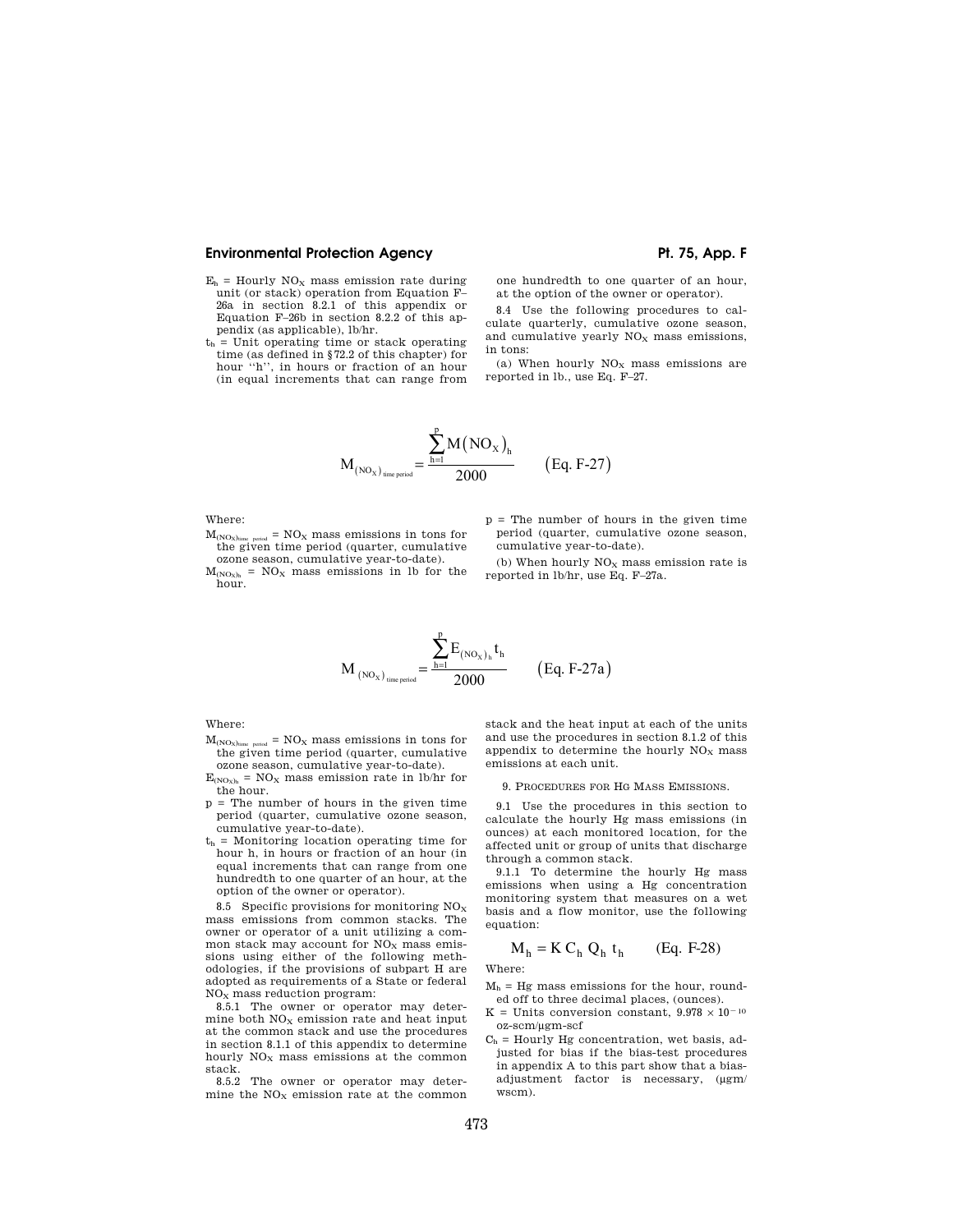- $E_h$  = Hourly NO<sub>X</sub> mass emission rate during unit (or stack) operation from Equation F– 26a in section 8.2.1 of this appendix or Equation F–26b in section 8.2.2 of this appendix (as applicable), lb/hr.
- $t<sub>h</sub>$  = Unit operating time or stack operating time (as defined in §72.2 of this chapter) for hour ''h'', in hours or fraction of an hour (in equal increments that can range from

one hundredth to one quarter of an hour, at the option of the owner or operator).

8.4 Use the following procedures to calculate quarterly, cumulative ozone season, and cumulative yearly  $NO<sub>x</sub>$  mass emissions, in tons:

(a) When hourly  $NO<sub>x</sub>$  mass emissions are reported in lb., use Eq. F–27.

$$
M_{\text{(NO_X)}_{\text{time period}}} = \frac{\sum_{h=1}^{p} M(\text{NO_X})_h}{2000} \qquad \text{(Eq. F-27)}
$$

Where:

 $M_{(NOx)time$  period =  $NO<sub>X</sub>$  mass emissions in tons for the given time period (quarter, cumulative ozone season, cumulative year-to-date).

 $M_{(NOx)h}$  = NO<sub>X</sub> mass emissions in lb for the hour.

- p = The number of hours in the given time period (quarter, cumulative ozone season, cumulative year-to-date).
- (b) When hourly  $NO<sub>x</sub>$  mass emission rate is reported in lb/hr, use Eq. F–27a.

$$
M_{\rm\,(NO_X)\,_{time\, period}}=\frac{\displaystyle\sum_{h=1}^{p}E_{\rm\,(NO_X)\,_{h}}t_h}{2000}\qquad \ \ (Eq.\ F\text{-}27a)
$$

Where:

- $M_{\text{AMO}}$ <sub>time</sub> =  $NO_x$  mass emissions in tons for the given time period (quarter, cumulative ozone season, cumulative year-to-date).
- $E_{(NOx)_h} = NO_x$  mass emission rate in lb/hr for the hour.
- p = The number of hours in the given time period (quarter, cumulative ozone season, cumulative year-to-date).
- $t<sub>h</sub>$  = Monitoring location operating time for hour h, in hours or fraction of an hour (in equal increments that can range from one hundredth to one quarter of an hour, at the option of the owner or operator).

8.5 Specific provisions for monitoring  $NO<sub>x</sub>$ mass emissions from common stacks. The owner or operator of a unit utilizing a common stack may account for  $NO<sub>x</sub>$  mass emissions using either of the following methodologies, if the provisions of subpart H are adopted as requirements of a State or federal  $NO<sub>x</sub>$  mass reduction program:

8.5.1 The owner or operator may determine both  $NO<sub>x</sub>$  emission rate and heat input at the common stack and use the procedures in section 8.1.1 of this appendix to determine hourly  $NO<sub>x</sub>$  mass emissions at the common stack.

8.5.2 The owner or operator may determine the  $\rm{NO_{X}}$  emission rate at the common

stack and the heat input at each of the units and use the procedures in section 8.1.2 of this appendix to determine the hourly  $NO<sub>x</sub>$  mass emissions at each unit.

### 9. PROCEDURES FOR HG MASS EMISSIONS.

9.1 Use the procedures in this section to calculate the hourly Hg mass emissions (in ounces) at each monitored location, for the affected unit or group of units that discharge through a common stack.

9.1.1 To determine the hourly Hg mass emissions when using a Hg concentration monitoring system that measures on a wet basis and a flow monitor, use the following equation:

$$
M_h = K C_h Q_h t_h \qquad (Eq. F-28)
$$

Where:

 $M_h$  = Hg mass emissions for the hour, rounded off to three decimal places, (ounces).

- K = Units conversion constant,  $9.978 \times 10^{-10}$ oz-scm/μgm-scf
- $C<sub>h</sub>$  = Hourly Hg concentration, wet basis, adjusted for bias if the bias-test procedures in appendix A to this part show that a biasadjustment factor is necessary, (μgm/ wscm).